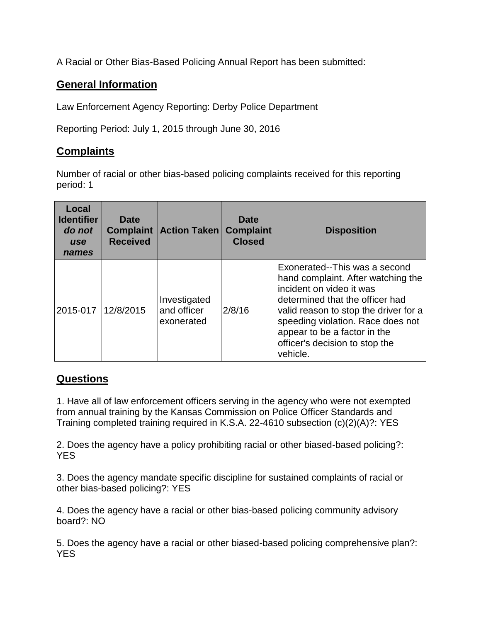A Racial or Other Bias-Based Policing Annual Report has been submitted:

## **General Information**

Law Enforcement Agency Reporting: Derby Police Department

Reporting Period: July 1, 2015 through June 30, 2016

## **Complaints**

Number of racial or other bias-based policing complaints received for this reporting period: 1

| Local<br><b>Identifier</b><br>do not<br>use<br>names | Date<br><b>Complaint</b><br><b>Received</b> | <b>Action Taken</b>                       | Date<br><b>Complaint</b><br><b>Closed</b> | <b>Disposition</b>                                                                                                                                                                                                                                                                             |
|------------------------------------------------------|---------------------------------------------|-------------------------------------------|-------------------------------------------|------------------------------------------------------------------------------------------------------------------------------------------------------------------------------------------------------------------------------------------------------------------------------------------------|
| 2015-017                                             | 12/8/2015                                   | Investigated<br>and officer<br>exonerated | 2/8/16                                    | Exonerated--This was a second<br>hand complaint. After watching the<br>incident on video it was<br>determined that the officer had<br>valid reason to stop the driver for a<br>speeding violation. Race does not<br>appear to be a factor in the<br>officer's decision to stop the<br>vehicle. |

## **Questions**

1. Have all of law enforcement officers serving in the agency who were not exempted from annual training by the Kansas Commission on Police Officer Standards and Training completed training required in K.S.A. 22-4610 subsection (c)(2)(A)?: YES

2. Does the agency have a policy prohibiting racial or other biased-based policing?: YES

3. Does the agency mandate specific discipline for sustained complaints of racial or other bias-based policing?: YES

4. Does the agency have a racial or other bias-based policing community advisory board?: NO

5. Does the agency have a racial or other biased-based policing comprehensive plan?: YES